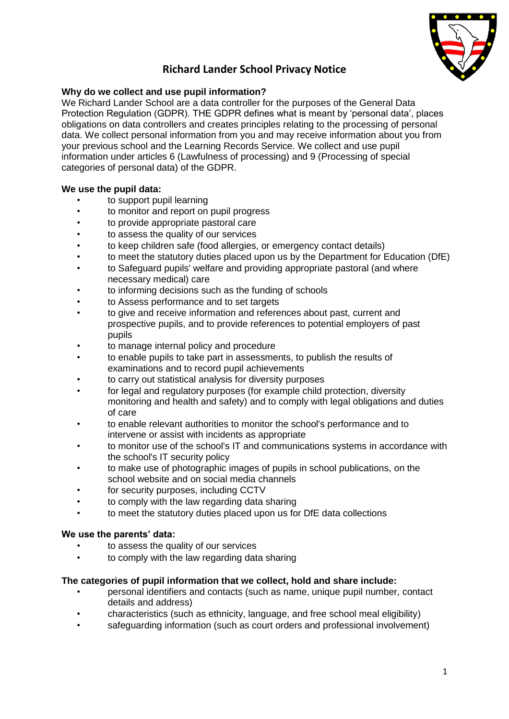

# **Richard Lander School Privacy Notice**

## **Why do we collect and use pupil information?**

We Richard Lander School are a data controller for the purposes of the General Data Protection Regulation (GDPR). THE GDPR defines what is meant by 'personal data', places obligations on data controllers and creates principles relating to the processing of personal data. We collect personal information from you and may receive information about you from your previous school and the Learning Records Service. We collect and use pupil information under articles 6 (Lawfulness of processing) and 9 (Processing of special categories of personal data) of the GDPR.

## **We use the pupil data:**

- to support pupil learning
- to monitor and report on pupil progress
- to provide appropriate pastoral care
- to assess the quality of our services
- to keep children safe (food allergies, or emergency contact details)
- to meet the statutory duties placed upon us by the Department for Education (DfE)
- to Safeguard pupils' welfare and providing appropriate pastoral (and where necessary medical) care
- to informing decisions such as the funding of schools
- to Assess performance and to set targets
- to give and receive information and references about past, current and prospective pupils, and to provide references to potential employers of past pupils
- to manage internal policy and procedure
- to enable pupils to take part in assessments, to publish the results of examinations and to record pupil achievements
- to carry out statistical analysis for diversity purposes
- for legal and regulatory purposes (for example child protection, diversity monitoring and health and safety) and to comply with legal obligations and duties of care
- to enable relevant authorities to monitor the school's performance and to intervene or assist with incidents as appropriate
- to monitor use of the school's IT and communications systems in accordance with the school's IT security policy
- to make use of photographic images of pupils in school publications, on the school website and on social media channels
- for security purposes, including CCTV
- to comply with the law regarding data sharing
- to meet the statutory duties placed upon us for DfE data collections

## **We use the parents' data:**

- to assess the quality of our services
- to comply with the law regarding data sharing

## **The categories of pupil information that we collect, hold and share include:**

- personal identifiers and contacts (such as name, unique pupil number, contact details and address)
- characteristics (such as ethnicity, language, and free school meal eligibility)
- safeguarding information (such as court orders and professional involvement)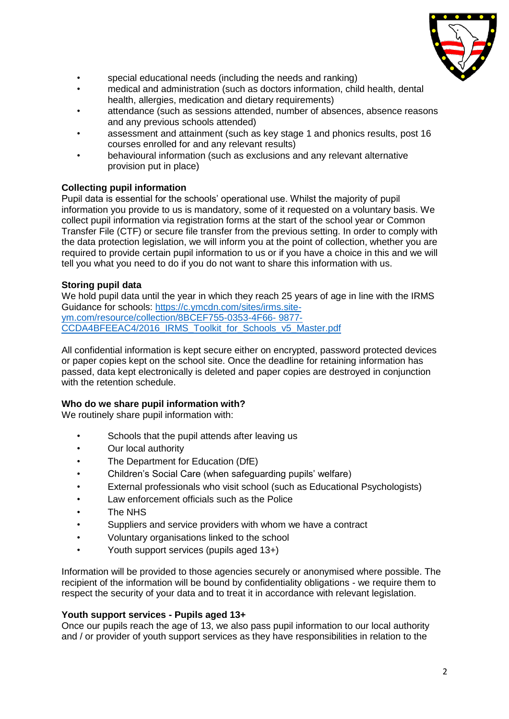

- special educational needs (including the needs and ranking)
- medical and administration (such as doctors information, child health, dental health, allergies, medication and dietary requirements)
- attendance (such as sessions attended, number of absences, absence reasons and any previous schools attended)
- assessment and attainment (such as key stage 1 and phonics results, post 16 courses enrolled for and any relevant results)
- behavioural information (such as exclusions and any relevant alternative provision put in place)

## **Collecting pupil information**

Pupil data is essential for the schools' operational use. Whilst the majority of pupil information you provide to us is mandatory, some of it requested on a voluntary basis. We collect pupil information via registration forms at the start of the school year or Common Transfer File (CTF) or secure file transfer from the previous setting. In order to comply with the data protection legislation, we will inform you at the point of collection, whether you are required to provide certain pupil information to us or if you have a choice in this and we will tell you what you need to do if you do not want to share this information with us.

## **Storing pupil data**

We hold pupil data until the year in which they reach 25 years of age in line with the IRMS Guidance for schools: [https://c.ymcdn.com/sites/irms.site](https://c.ymcdn.com/sites/irms.site-ym.com/resource/collection/8BCEF755-0353-4F66-%209877-CCDA4BFEEAC4/2016_IRMS_Toolkit_for_Schools_v5_Master.pdf)[ym.com/resource/collection/8BCEF755-0353-4F66-](https://c.ymcdn.com/sites/irms.site-ym.com/resource/collection/8BCEF755-0353-4F66-%209877-CCDA4BFEEAC4/2016_IRMS_Toolkit_for_Schools_v5_Master.pdf) 9877- [CCDA4BFEEAC4/2016\\_IRMS\\_Toolkit\\_for\\_Schools\\_v5\\_Master.pdf](https://c.ymcdn.com/sites/irms.site-ym.com/resource/collection/8BCEF755-0353-4F66-%209877-CCDA4BFEEAC4/2016_IRMS_Toolkit_for_Schools_v5_Master.pdf)

All confidential information is kept secure either on encrypted, password protected devices or paper copies kept on the school site. Once the deadline for retaining information has passed, data kept electronically is deleted and paper copies are destroyed in conjunction with the retention schedule.

## **Who do we share pupil information with?**

We routinely share pupil information with:

- Schools that the pupil attends after leaving us
- Our local authority
- The Department for Education (DfE)
- Children's Social Care (when safeguarding pupils' welfare)
- External professionals who visit school (such as Educational Psychologists)
- Law enforcement officials such as the Police
- The NHS
- Suppliers and service providers with whom we have a contract
- Voluntary organisations linked to the school
- Youth support services (pupils aged 13+)

Information will be provided to those agencies securely or anonymised where possible. The recipient of the information will be bound by confidentiality obligations - we require them to respect the security of your data and to treat it in accordance with relevant legislation.

## **Youth support services - Pupils aged 13+**

Once our pupils reach the age of 13, we also pass pupil information to our local authority and / or provider of youth support services as they have responsibilities in relation to the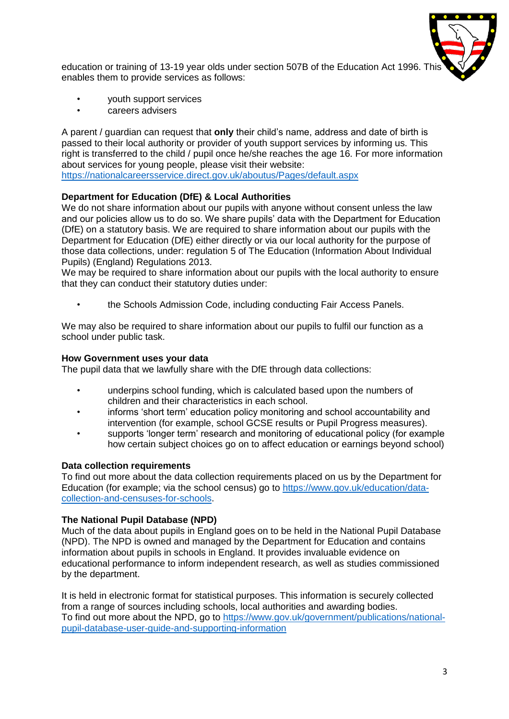

education or training of 13-19 year olds under section 507B of the Education Act 1996. This enables them to provide services as follows:

- youth support services
- careers advisers

A parent / guardian can request that **only** their child's name, address and date of birth is passed to their local authority or provider of youth support services by informing us. This right is transferred to the child / pupil once he/she reaches the age 16. For more information about services for young people, please visit their website:

<https://nationalcareersservice.direct.gov.uk/aboutus/Pages/default.aspx>

## **Department for Education (DfE) & Local Authorities**

We do not share information about our pupils with anyone without consent unless the law and our policies allow us to do so. We share pupils' data with the Department for Education (DfE) on a statutory basis. We are required to share information about our pupils with the Department for Education (DfE) either directly or via our local authority for the purpose of those data collections, under: regulation 5 of The Education (Information About Individual Pupils) (England) Regulations 2013.

We may be required to share information about our pupils with the local authority to ensure that they can conduct their statutory duties under:

• the Schools Admission Code, including conducting Fair Access Panels.

We may also be required to share information about our pupils to fulfil our function as a school under public task.

#### **How Government uses your data**

The pupil data that we lawfully share with the DfE through data collections:

- underpins school funding, which is calculated based upon the numbers of children and their characteristics in each school.
- informs 'short term' education policy monitoring and school accountability and intervention (for example, school GCSE results or Pupil Progress measures).
- supports 'longer term' research and monitoring of educational policy (for example how certain subject choices go on to affect education or earnings beyond school)

## **Data collection requirements**

To find out more about the data collection requirements placed on us by the Department for Education (for example; via the school census) go to [https://www.gov.uk/education/data](https://www.gov.uk/education/data-collection-and-censuses-for-schools)[collection-and-censuses-for-schools.](https://www.gov.uk/education/data-collection-and-censuses-for-schools)

## **The National Pupil Database (NPD)**

Much of the data about pupils in England goes on to be held in the National Pupil Database (NPD). The NPD is owned and managed by the Department for Education and contains information about pupils in schools in England. It provides invaluable evidence on educational performance to inform independent research, as well as studies commissioned by the department.

It is held in electronic format for statistical purposes. This information is securely collected from a range of sources including schools, local authorities and awarding bodies. To find out more about the NPD, go to [https://www.gov.uk/government/publications/national](https://www.gov.uk/government/publications/national-pupil-database-user-guide-and-supporting-information)[pupil-database-user-guide-and-supporting-information](https://www.gov.uk/government/publications/national-pupil-database-user-guide-and-supporting-information)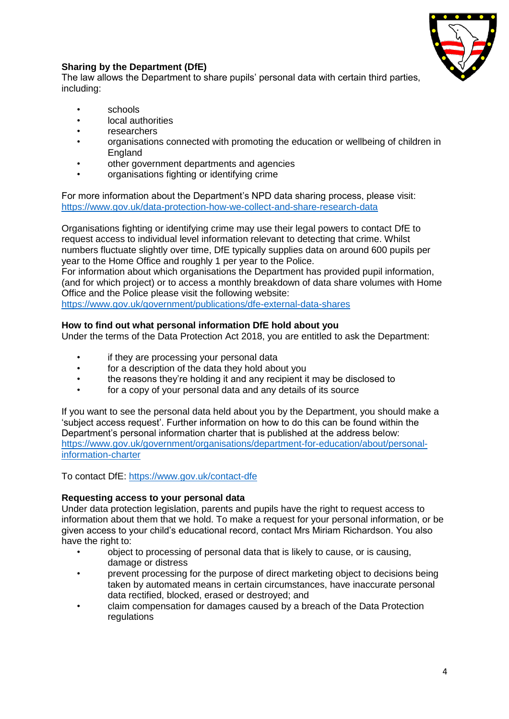

## **Sharing by the Department (DfE)**

The law allows the Department to share pupils' personal data with certain third parties, including:

- schools
- local authorities
- researchers
- organisations connected with promoting the education or wellbeing of children in England
- other government departments and agencies
- organisations fighting or identifying crime

For more information about the Department's NPD data sharing process, please visit: <https://www.gov.uk/data-protection-how-we-collect-and-share-research-data>

Organisations fighting or identifying crime may use their legal powers to contact DfE to request access to individual level information relevant to detecting that crime. Whilst numbers fluctuate slightly over time, DfE typically supplies data on around 600 pupils per year to the Home Office and roughly 1 per year to the Police.

For information about which organisations the Department has provided pupil information, (and for which project) or to access a monthly breakdown of data share volumes with Home Office and the Police please visit the following website:

<https://www.gov.uk/government/publications/dfe-external-data-shares>

## **How to find out what personal information DfE hold about you**

Under the terms of the Data Protection Act 2018, you are entitled to ask the Department:

- if they are processing your personal data
- for a description of the data they hold about you
- the reasons they're holding it and any recipient it may be disclosed to
- for a copy of your personal data and any details of its source

If you want to see the personal data held about you by the Department, you should make a 'subject access request'. Further information on how to do this can be found within the Department's personal information charter that is published at the address below: [https://www.gov.uk/government/organisations/department-for-education/about/personal](https://www.gov.uk/government/organisations/department-for-education/about/personal-information-charter)[information-charter](https://www.gov.uk/government/organisations/department-for-education/about/personal-information-charter) 

To contact DfE:<https://www.gov.uk/contact-dfe>

## **Requesting access to your personal data**

Under data protection legislation, parents and pupils have the right to request access to information about them that we hold. To make a request for your personal information, or be given access to your child's educational record, contact Mrs Miriam Richardson. You also have the right to:

- object to processing of personal data that is likely to cause, or is causing, damage or distress
- prevent processing for the purpose of direct marketing object to decisions being taken by automated means in certain circumstances, have inaccurate personal data rectified, blocked, erased or destroyed; and
- claim compensation for damages caused by a breach of the Data Protection regulations